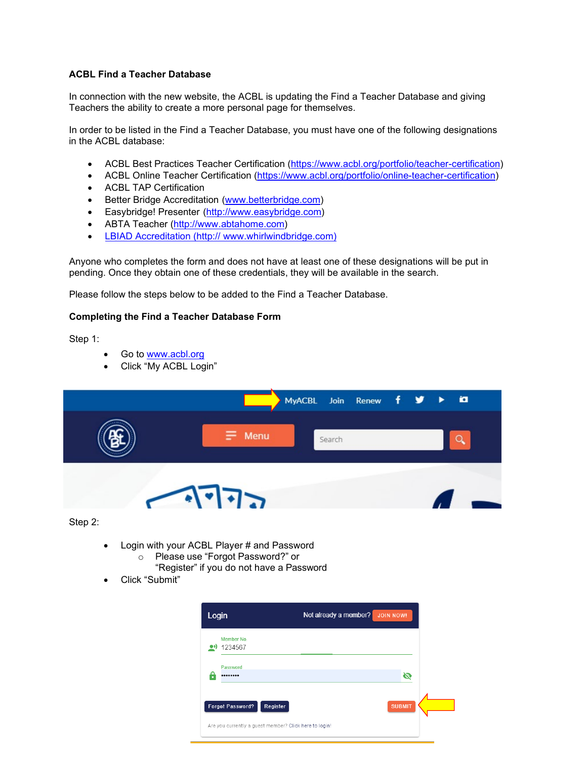#### **ACBL Find a Teacher Database**

In connection with the new website, the ACBL is updating the Find a Teacher Database and giving Teachers the ability to create a more personal page for themselves.

In order to be listed in the Find a Teacher Database, you must have one of the following designations in the ACBL database:

- [ACBL Best Practices Teacher Certification](http://www.acbl.org/tap) [\(https://www.acbl.org/portfolio/teacher-certification\)](https://www.acbl.org/portfolio/teacher-certification)
- ACBL Online Teacher Certification [\(https://www.acbl.org/portfolio/online-teacher-certification\)](https://www.acbl.org/portfolio/online-teacher-certification)
- [ACBL TAP Certification](http://www.acbl.org/tap)
- Better Bridge Accreditation [\(www.betterbridge.com\)](http://www.betterbridge.com/)
- Easybridge! Presenter [\(http://www.easybridge.com\)](http://www.easybridge.com/)
- ABTA Teach[er \(http://www.abtahome.com\)](http://www.abtahome.com/)
- LBIAD Accreditation (http:// www.whirlwindbridge.com)

Anyone who completes the form and does not have at least one of these designations will be put in pending. Once they obtain one of these credentials, they will be available in the search.

Please follow the steps below to be added to the Find a Teacher Database.

#### **Completing the Find a Teacher Database Form**

Step 1:

- Go to [www.acbl.org](http://www.acbl.org/)
- Click "My ACBL Login"

|     |               | MyACBL Join Renew f y > ia |  |    |  |
|-----|---------------|----------------------------|--|----|--|
|     | $\equiv$ Menu | Search                     |  |    |  |
| ___ | $\sqrt{1772}$ |                            |  | Z. |  |

Step 2:

- Login with your ACBL Player # and Password
	- o Please use "Forgot Password?" or
		- "Register" if you do not have a Password
- Click "Submit"

| Login                                                  | Not already a member?<br><b>JOIN NOW!</b> |
|--------------------------------------------------------|-------------------------------------------|
| Member No.<br>1234567                                  |                                           |
| Password<br>                                           | Ø                                         |
| Register<br><b>Forgot Password?</b>                    | <b>SUBMIT</b>                             |
| Are you currently a guest member? Click here to login! |                                           |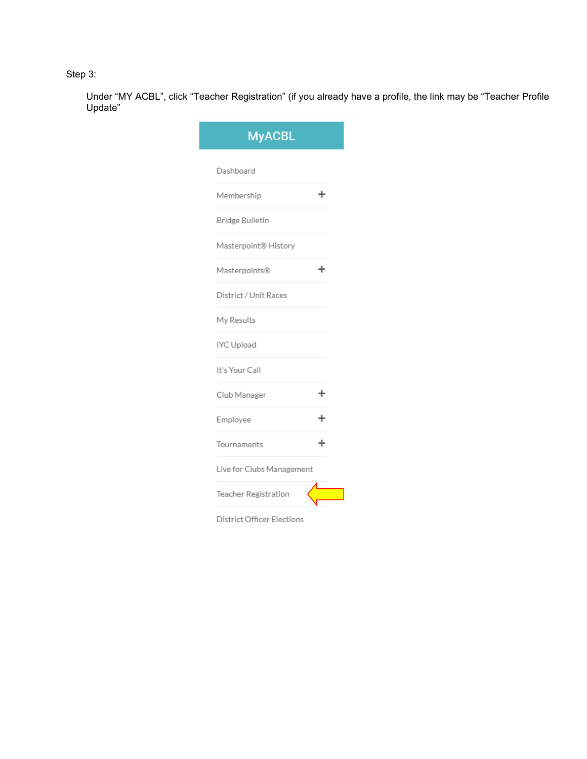# Step 3:

Under "MY ACBL", click "Teacher Registration" (if you already have a profile, the link may be "Teacher Profile Update"

| <b>MyACBL</b>                     |  |
|-----------------------------------|--|
| Dashboard                         |  |
| Membership                        |  |
| Bridge Bulletin                   |  |
| Masterpoint® History              |  |
| Masterpoints®                     |  |
| District / Unit Races             |  |
| My Results                        |  |
| IYC Upload                        |  |
| It's Your Call                    |  |
| Club Manager                      |  |
| Employee                          |  |
| Tournaments                       |  |
| Live for Clubs Management         |  |
| Teacher Registration              |  |
| <b>District Officer Elections</b> |  |